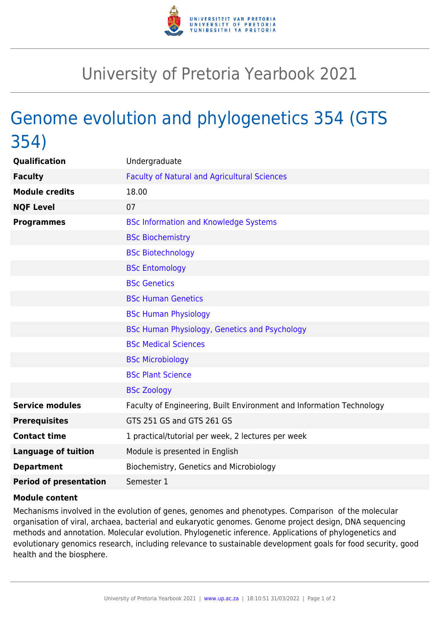

## University of Pretoria Yearbook 2021

## Genome evolution and phylogenetics 354 (GTS 354)

| Qualification                 | Undergraduate                                                        |
|-------------------------------|----------------------------------------------------------------------|
| <b>Faculty</b>                | <b>Faculty of Natural and Agricultural Sciences</b>                  |
| <b>Module credits</b>         | 18.00                                                                |
| <b>NQF Level</b>              | 07                                                                   |
| <b>Programmes</b>             | <b>BSc Information and Knowledge Systems</b>                         |
|                               | <b>BSc Biochemistry</b>                                              |
|                               | <b>BSc Biotechnology</b>                                             |
|                               | <b>BSc Entomology</b>                                                |
|                               | <b>BSc Genetics</b>                                                  |
|                               | <b>BSc Human Genetics</b>                                            |
|                               | <b>BSc Human Physiology</b>                                          |
|                               | BSc Human Physiology, Genetics and Psychology                        |
|                               | <b>BSc Medical Sciences</b>                                          |
|                               | <b>BSc Microbiology</b>                                              |
|                               | <b>BSc Plant Science</b>                                             |
|                               | <b>BSc Zoology</b>                                                   |
| <b>Service modules</b>        | Faculty of Engineering, Built Environment and Information Technology |
| <b>Prerequisites</b>          | GTS 251 GS and GTS 261 GS                                            |
| <b>Contact time</b>           | 1 practical/tutorial per week, 2 lectures per week                   |
| <b>Language of tuition</b>    | Module is presented in English                                       |
| <b>Department</b>             | Biochemistry, Genetics and Microbiology                              |
| <b>Period of presentation</b> | Semester 1                                                           |

## **Module content**

Mechanisms involved in the evolution of genes, genomes and phenotypes. Comparison of the molecular organisation of viral, archaea, bacterial and eukaryotic genomes. Genome project design, DNA sequencing methods and annotation. Molecular evolution. Phylogenetic inference. Applications of phylogenetics and evolutionary genomics research, including relevance to sustainable development goals for food security, good health and the biosphere.